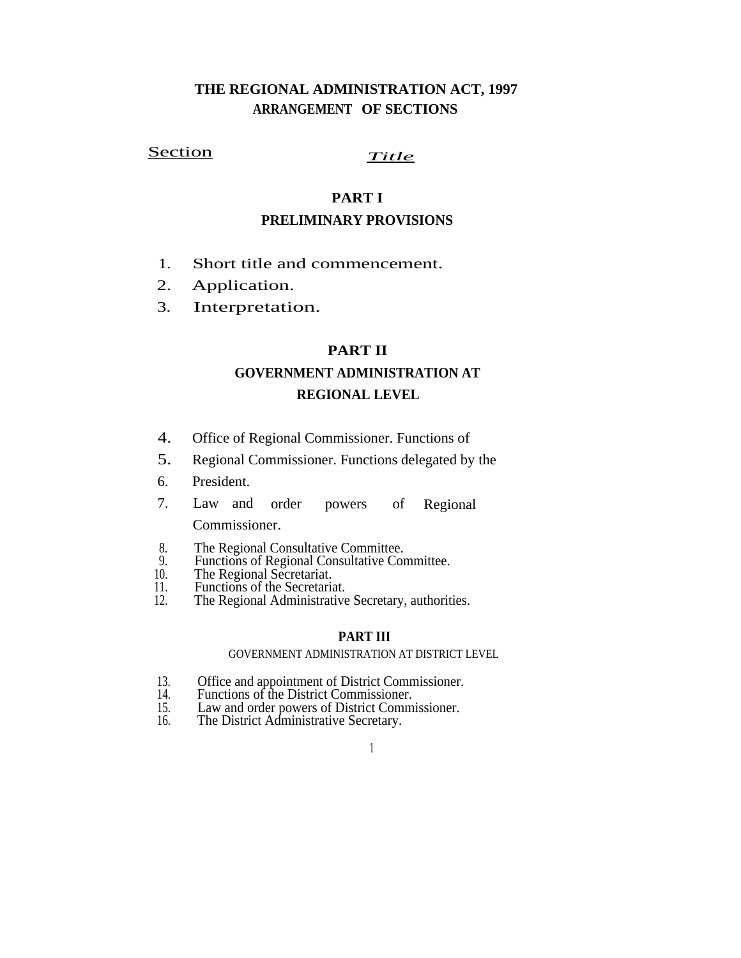# **THE REGIONAL ADMINISTRATION ACT, 1997 ARRANGEMENT OF SECTIONS**

# Section *Title*

# **PART I**

# **PRELIMINARY PROVISIONS**

- 1. Short title and commencement.
- Application. 2.
- Interpretation. 3.

### **PART II**

# **GOVERNMENT ADMINISTRATION AT REGIONAL LEVEL**

- 4. Office of Regional Commissioner. Functions of
- Regional Commissioner. Functions delegated by the 5.
- President. 6.
- 7. Law and order powers of Regional Commissioner.
- The Regional Consultative Committee.  $\frac{8}{9}$ .
- Functions of Regional Consultative Committee.
- The Regional Secretariat. 10.
- 11. Functions of the Secretariat.
- 12. The Regional Administrative Secretary, authorities.

#### **PART III**

#### GOVERNMENT ADMINISTRATION AT DISTRICT LEVEL

- 13. Office and appointment of District Commissioner.<br>14. Functions of the District Commissioner.
- 14. Functions of the District Commissioner.<br>15. Law and order powers of District Commi
- 15. Law and order powers of District Commissioner.
- 16. The District Administrative Secretary.
	- 1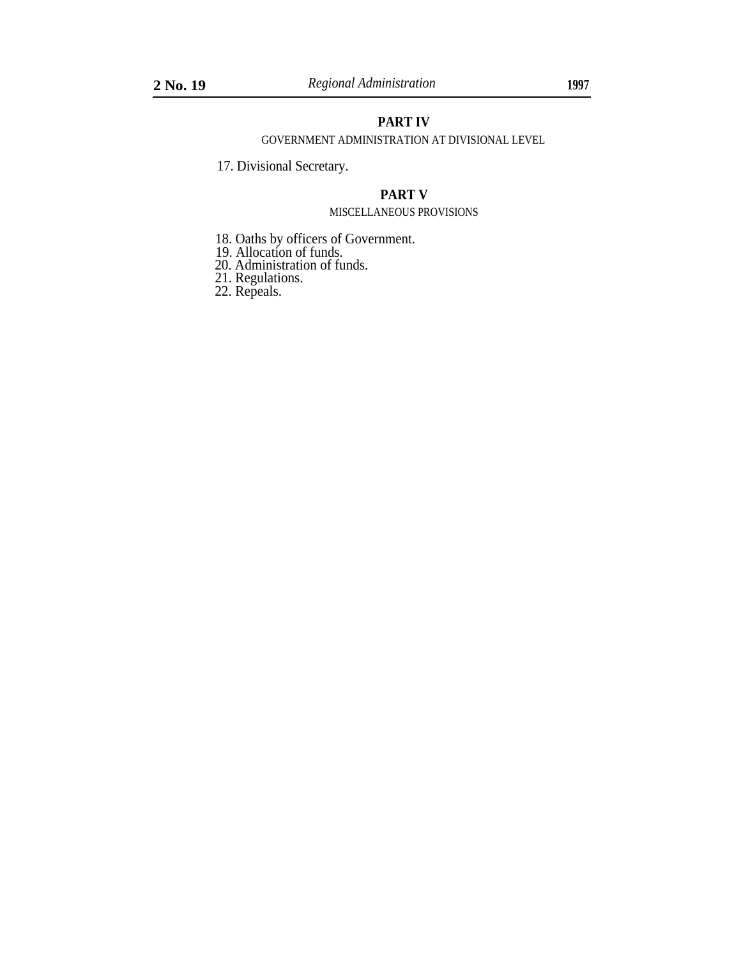### **PART IV**

GOVERNMENT ADMINISTRATION AT DIVISIONAL LEVEL

17. Divisional Secretary.

## **PART V**

#### MISCELLANEOUS PROVISIONS

- 18. Oaths by officers of Government.
- 19. Allocation of funds.
- 20. Administration of funds.
- 21. Regulations.
- 22. Repeals.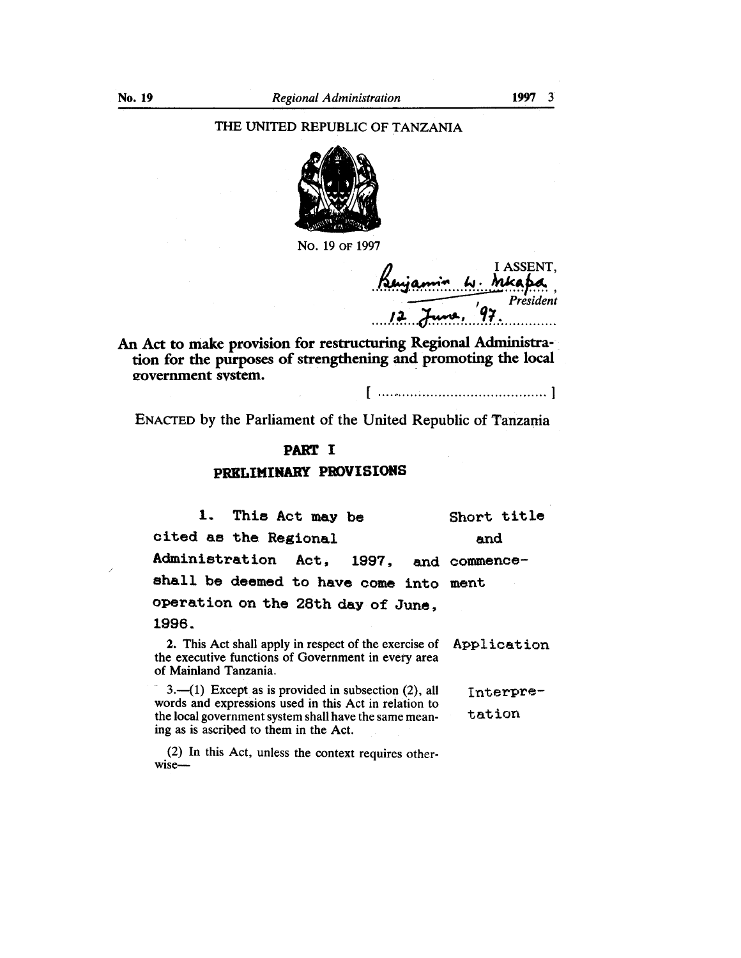### THE UNITED REPUBLIC OF TANZANIA



No. 19 or 1997

I ASSENT. j. Mka Prèsident

An Act to make provision for restructuring Regional Administration for the purposes of strengthening and promoting the local government system.

ENACTED by the Parliament of the United Republic of Tanzania

# **PART I** PRELIMINARY PROVISIONS

 $1.$ This Act may be Short title cited as the Regional and Administration Act, 1997. and commenceshall be deemed to have come into ment operation on the 28th day of June, 1996.

2. This Act shall apply in respect of the exercise of Application the executive functions of Government in every area of Mainland Tanzania.

3.—(1) Except as is provided in subsection  $(2)$ , all Interprewords and expressions used in this Act in relation to tation the local government system shall have the same meaning as is ascribed to them in the Act.

(2) In this Act, unless the context requires otherwise-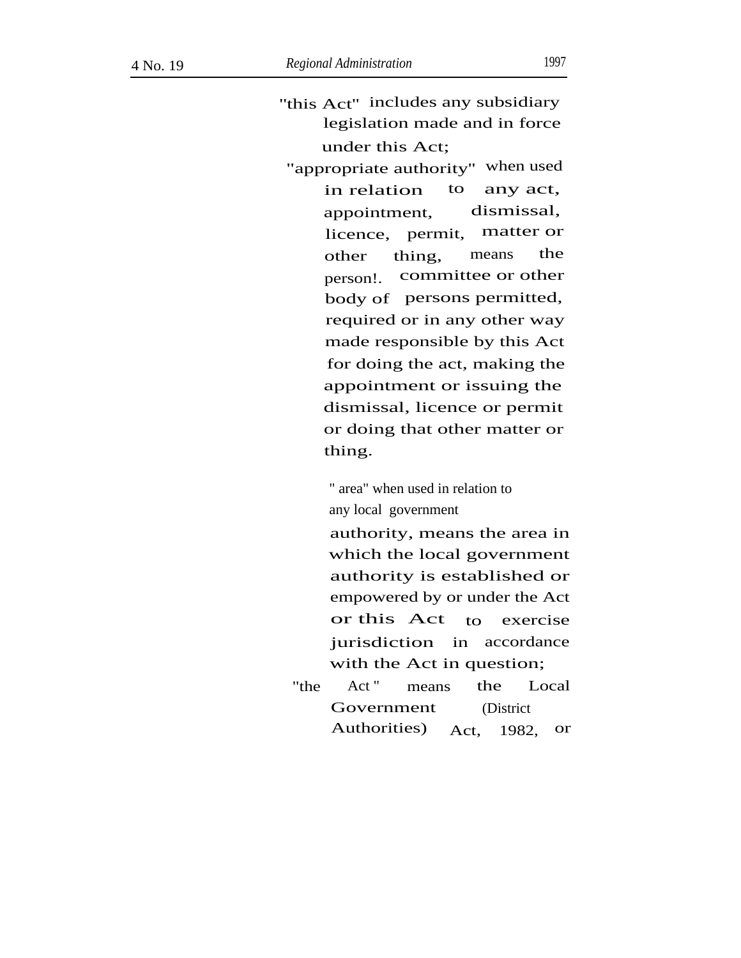- "this Act" includes any subsidiary legislation made and in force under this Act;
- "appropriate authority'' when used in relation to any act, appointment, dismissal, licence, permit, matter or other thing, means the committee or other .<br>body of persons permitted, person!. required or in any other way made responsible by this Act for doing the act, making the appointment or issuing the dismissal, licence or permit or doing that other matter or thing.

" area" when used in relation to any local government

authority, means the area in which the local government authority is established or empowered by or under the Act or this Act to exercise jurisdiction in accordance with the Act in question;

"the Act" means the Local Government Authorities) (District Act, 1982, or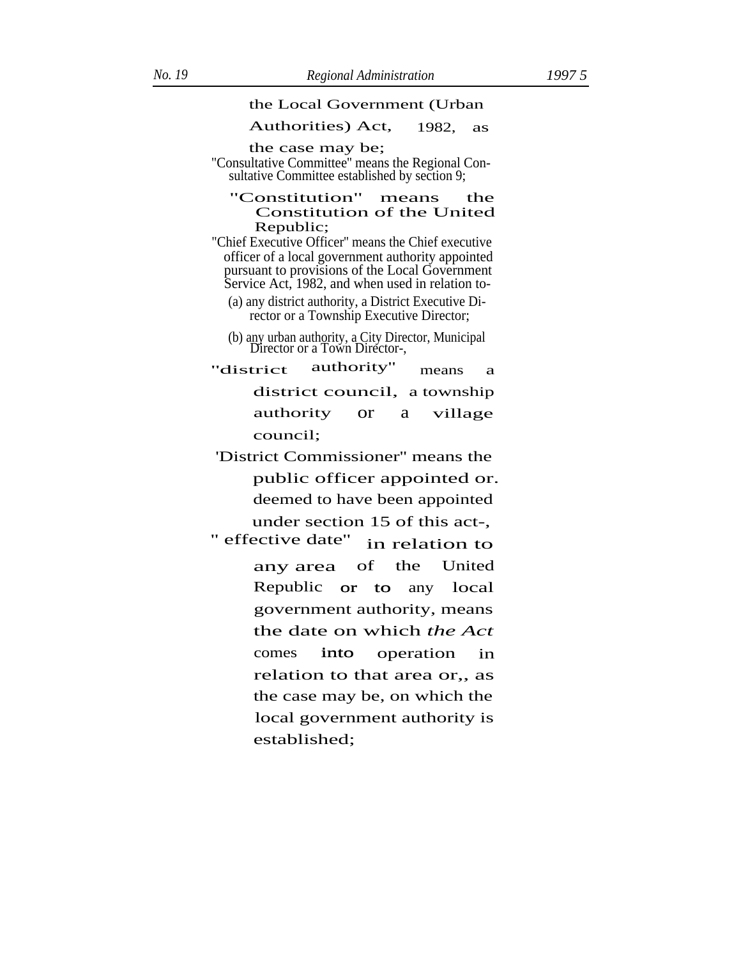#### the Local Government (Urban

#### Authorities) Act, 1982, as

the case may be;

"Consultative Committee'' means the Regional Consultative Committee established by section 9;

#### "Constitution" means the Constitution of the United Republic;

"Chief Executive Officer'' means the Chief executive officer of a local government authority appointed pursuant to provisions of the Local Government Service Act, 1982, and when used in relation to-

(a) any district authority, a District Executive Director or a Township Executive Director;

(b) any urban authority, a City Director, Municipal Director or a Town Director-,

"district authority" means a district council, a township authority or a village council;

 'District Commissioner'' means the public officer appointed or. deemed to have been appointed under section 15 of this act-,

'' effective date'' in relation to any area of the United Republic or to any local government authority, means the date on which *the Act* comes into operation in relation to that area or,, as the case may be, on which the local government authority is established; into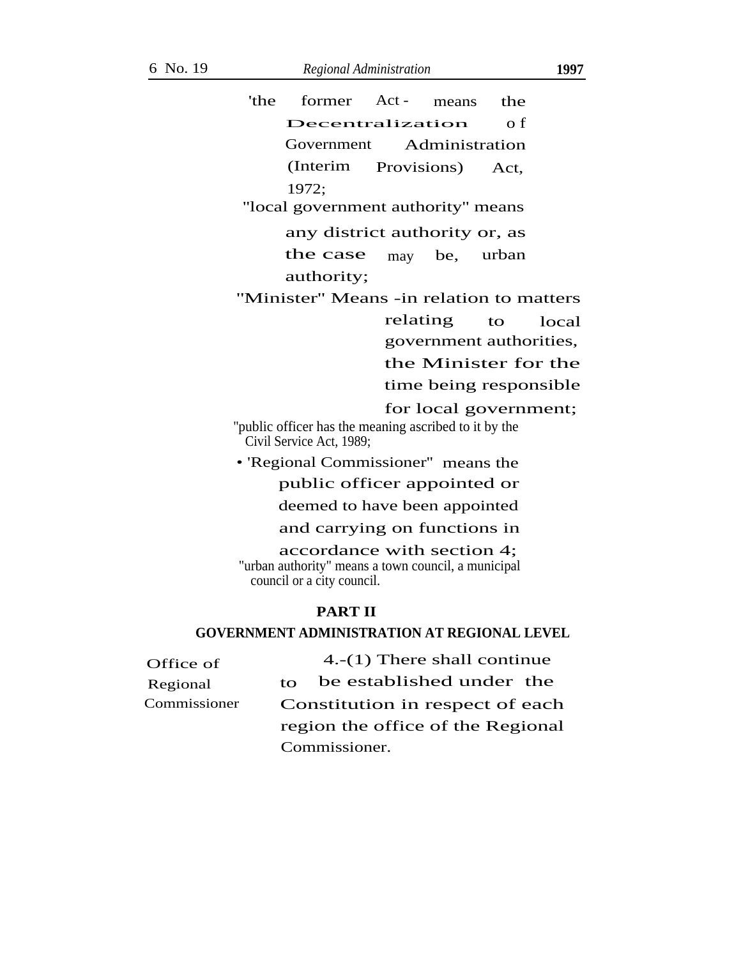|            | 'the | former                                                                                                          | $Act -$     | means | the                            |       |
|------------|------|-----------------------------------------------------------------------------------------------------------------|-------------|-------|--------------------------------|-------|
|            |      | Decentralization                                                                                                |             |       | o f                            |       |
|            |      | Government                                                                                                      |             |       | Administration                 |       |
|            |      | (Interim                                                                                                        | Provisions) |       | Act,                           |       |
|            |      | 1972;                                                                                                           |             |       |                                |       |
|            |      | "local government authority" means                                                                              |             |       |                                |       |
|            |      | any district authority or, as                                                                                   |             |       |                                |       |
|            |      | the case                                                                                                        | may         | be,   | urban                          |       |
|            |      | authority;                                                                                                      |             |       |                                |       |
|            |      | "Minister" Means -in relation to matters                                                                        |             |       |                                |       |
|            |      |                                                                                                                 | relating    |       | $\mathbf{t}$                   | local |
|            |      |                                                                                                                 |             |       | government authorities,        |       |
|            |      |                                                                                                                 |             |       | the Minister for the           |       |
|            |      |                                                                                                                 |             |       | time being responsible         |       |
|            |      |                                                                                                                 |             |       | for local government;          |       |
|            |      | "public officer has the meaning ascribed to it by the<br>Civil Service Act, 1989;                               |             |       |                                |       |
|            |      | • 'Regional Commissioner'' means the                                                                            |             |       |                                |       |
|            |      | public officer appointed or                                                                                     |             |       |                                |       |
|            |      | deemed to have been appointed                                                                                   |             |       |                                |       |
|            |      | and carrying on functions in                                                                                    |             |       |                                |       |
|            |      | accordance with section 4;<br>"urban authority" means a town council, a municipal<br>council or a city council. |             |       |                                |       |
|            |      | <b>PART II</b><br><b>GOVERNMENT ADMINISTRATION AT REGIONAL LEVEL</b>                                            |             |       |                                |       |
| $\cdot$ of |      |                                                                                                                 |             |       | 4.- $(1)$ There shall continue |       |
|            |      |                                                                                                                 |             |       |                                |       |

| Office of    |                                 | 4.- $(1)$ There shall continue    |
|--------------|---------------------------------|-----------------------------------|
| Regional     | tΩ                              | be established under the          |
| Commissioner | Constitution in respect of each |                                   |
|              |                                 | region the office of the Regional |
|              |                                 | Commissioner.                     |
|              |                                 |                                   |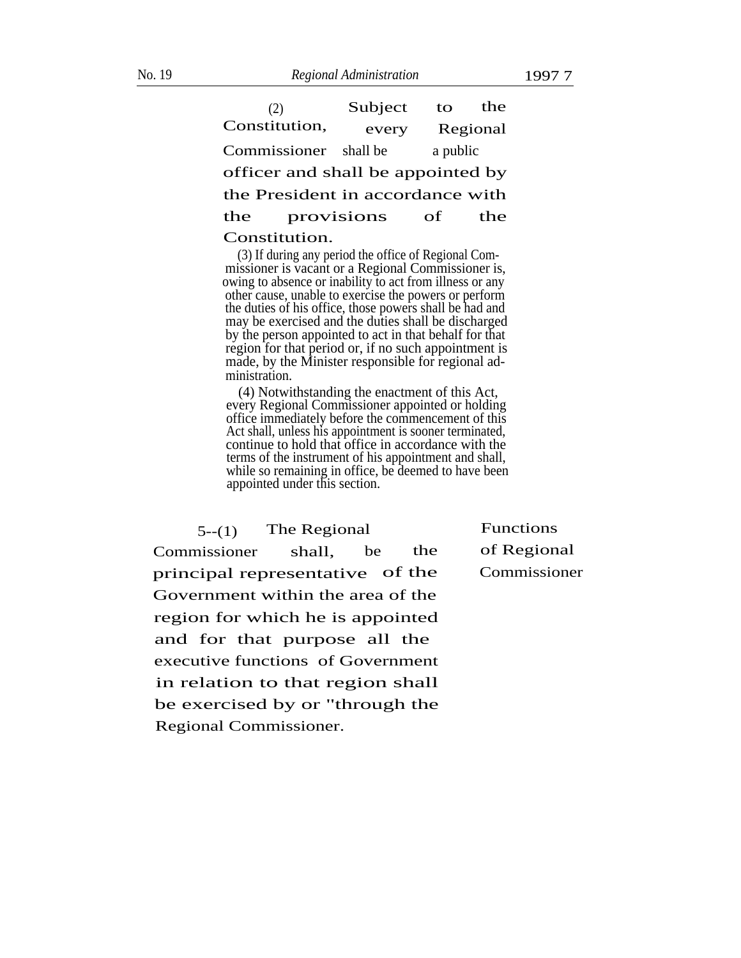(2) Subject to the Constitution, every Regional Commissioner shall be a public officer and shall be appointed by the President in accordance with the provisions of the Constitution.

(3) If during any period the office of Regional Commissioner is vacant or a Regional Commissioner is, owing to absence or inability to act from illness or any other cause, unable to exercise the powers or perform the duties of his office, those powers shall be had and may be exercised and the duties shall be discharged by the person appointed to act in that behalf for that region for that period or, if no such appointment is made, by the Minister responsible for regional administration.

(4) Notwithstanding the enactment of this Act, every Regional Commissioner appointed or holding office immediately before the commencement of this Act shall, unless his appointment is sooner terminated, continue to hold that office in accordance with the terms of the instrument of his appointment and shall, while so remaining in office, be deemed to have been appointed under this section.

 $5-(1)$  The Regional Functions

Commissioner shall, be the of Regional principal representative of the Commissioner Government within the area of the region for which he is appointed and for that purpose all the executive functions of Government in relation to that region shall be exercised by or "through the Regional Commissioner.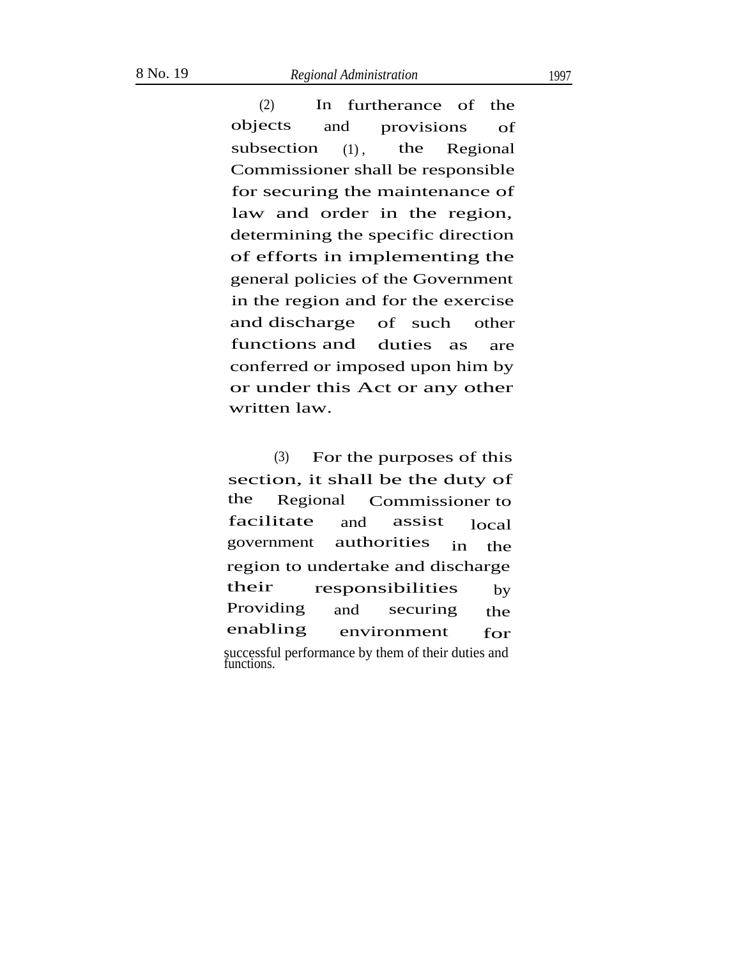(2) In furtherance of the objects and provisions of subsection  $(1)$ , the Regional Commissioner shall be responsible for securing the maintenance of law and order in the region, determining the specific direction of efforts in implementing the general policies of the Government in the region and for the exercise and discharge functions and of such other duties as are conferred or imposed upon him by or under this Act or any other written law.

(3) For the purposes of this section, it shall be the duty of the Regional Commissioner to facilitate and assist local government authorities in the region to undertake and discharge their Providing enabling responsibilities and securing the by environment for successful performance by them of their duties and functions.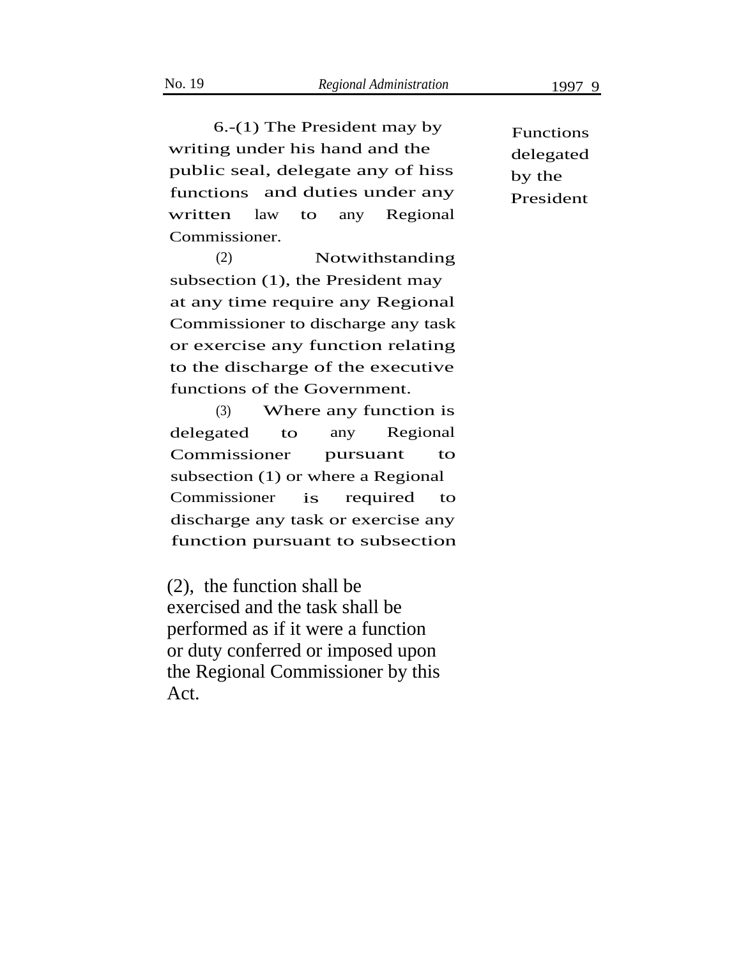6.-(1) The President may by writing under his hand and the public seal, delegate any of hiss by the functions and duties under any President written law to any Regional Commissioner.

(2) Notwithstanding subsection (1), the President may at any time require any Regional Commissioner to discharge any task or exercise any function relating to the discharge of the executive functions of the Government.

(3) Where any function is delegated to any Regional Commissioner pursuant to subsection (1) or where a Regional Commissioner is required to discharge any task or exercise any function pursuant to subsection

(2), the function shall be exercised and the task shall be performed as if it were a function or duty conferred or imposed upon the Regional Commissioner by this Act.

Functions delegated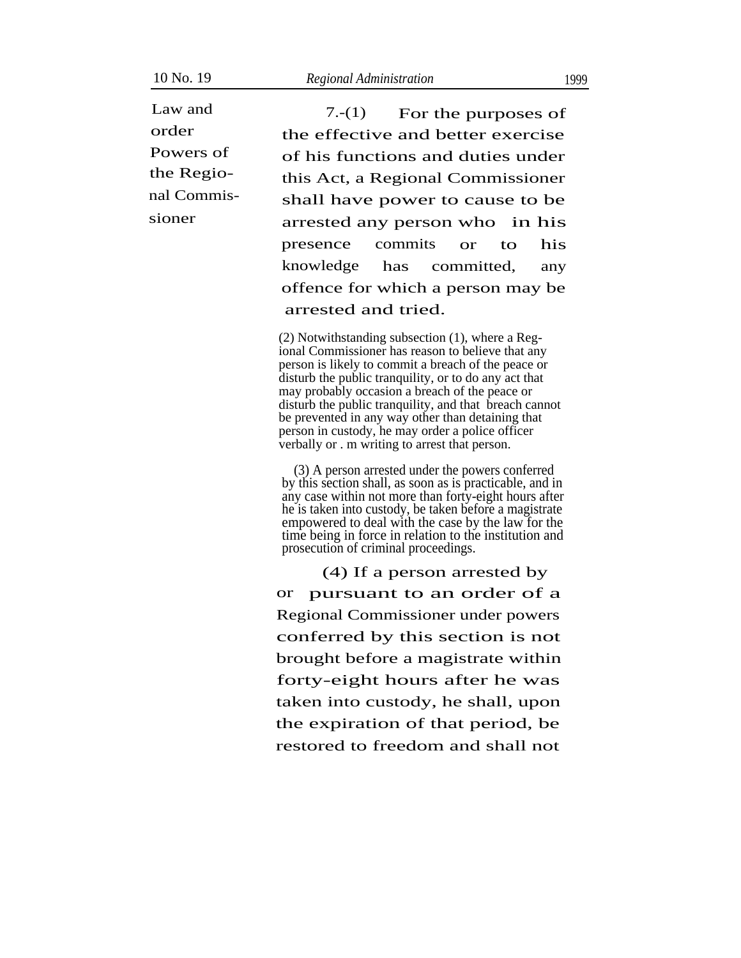Powers of the Regional Commis-

Law and  $7-(1)$  For the purposes of order the effective and better exercise of his functions and duties under this Act, a Regional Commissioner shall have power to cause to be sioner arrested any person who in his presence knowledge commits or to his has committed, any offence for which a person may be arrested and tried.

> (2) Notwithstanding subsection (1), where a Regional Commissioner has reason to believe that any person is likely to commit a breach of the peace or disturb the public tranquility, or to do any act that may probably occasion a breach of the peace or disturb the public tranquility, and that breach cannot be prevented in any way other than detaining that person in custody, he may order a police officer verbally or . m writing to arrest that person.

(3) A person arrested under the powers conferred by this section shall, as soon as is practicable, and in any case within not more than forty-eight hours after he is taken into custody, be taken before a magistrate empowered to deal with the case by the law for the time being in force in relation to the institution and prosecution of criminal proceedings.

(4) If a person arrested by or pursuant to an order of a Regional Commissioner under powers conferred by this section is not brought before a magistrate within forty-eight hours after he was taken into custody, he shall, upon the expiration of that period, be restored to freedom and shall not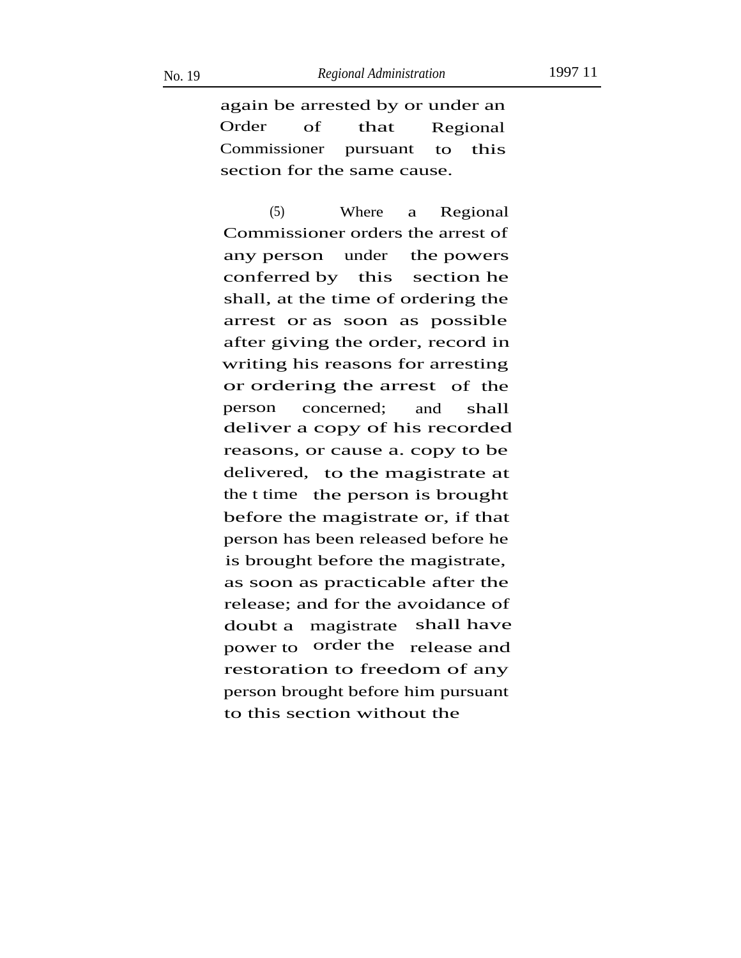again be arrested by or under an Order of that Regional Commissioner pursuant to this section for the same cause.

(5) Where a Regional Commissioner orders the arrest of any person conferred by this under the powers section he shall, at the time of ordering the arrest or as soon as possible after giving the order, record in writing his reasons for arresting or ordering the arrest of the person concerned; and shall deliver a copy of his recorded reasons, or cause a. copy to be delivered, to the magistrate at the t time the person is brought before the magistrate or, if that person has been released before he is brought before the magistrate, as soon as practicable after the release; and for the avoidance of doubt a magistrate shall have power to order the release and restoration to freedom of any person brought before him pursuant to this section without the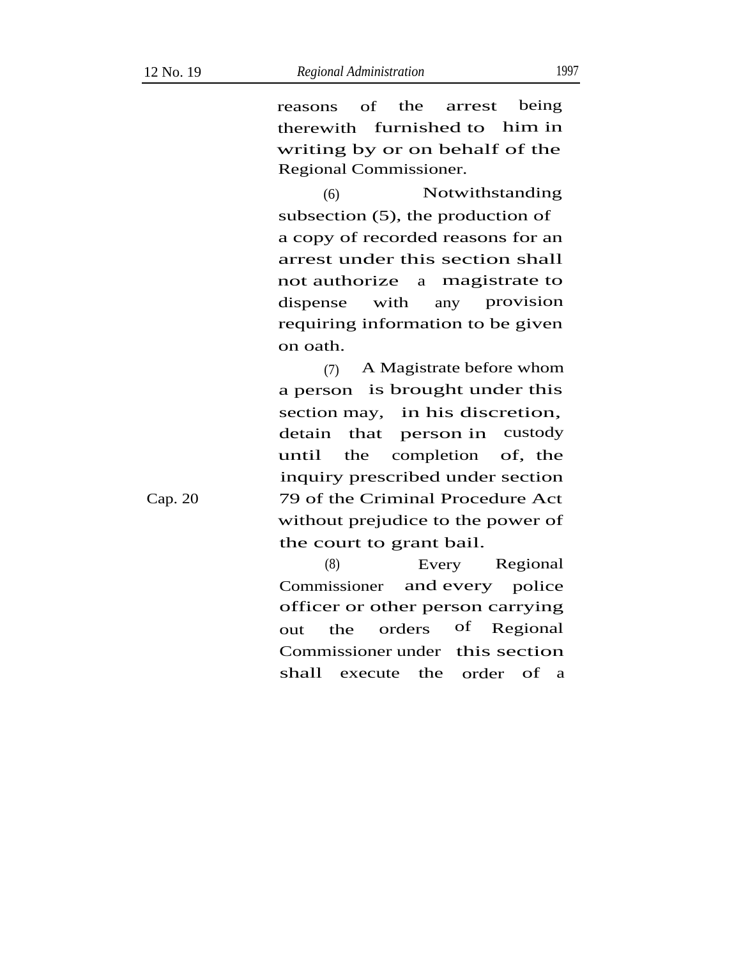reasons of the arrest being therewith furnished to him in writing by or on behalf of the Regional Commissioner.

(6) Notwithstanding subsection (5), the production of a copy of recorded reasons for an arrest under this section shall not authorize a magistrate to provision dispense with any requiring information to be given on oath.

(7) A Magistrate before whom a person is brought under this section may, in his discretion, detain that person in custody until the completion of, the inquiry prescribed under section 79 of the Criminal Procedure Act without prejudice to the power of the court to grant bail.

(8) Every Regional Commissioner and every police officer or other person carrying out the orders of Regional Commissioner under this section shall execute the order of a

Cap. 20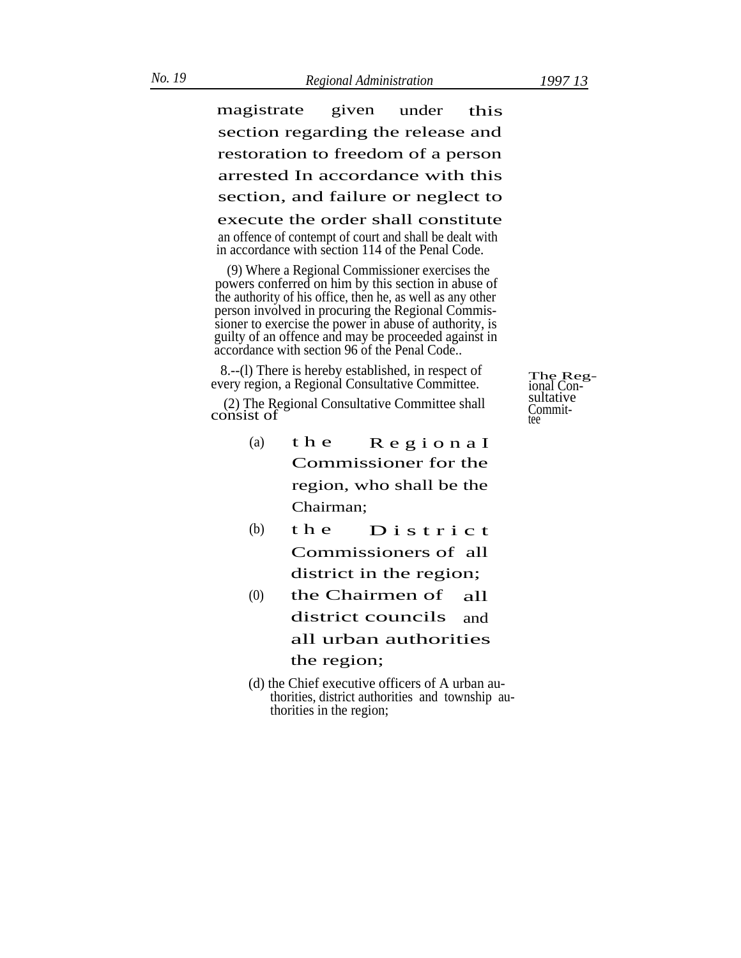magistrate given under this section regarding the release and restoration to freedom of a person arrested In accordance with this section, and failure or neglect to execute the order shall constitute an offence of contempt of court and shall be dealt with in accordance with section 114 of the Penal Code.

(9) Where a Regional Commissioner exercises the powers conferred on him by this section in abuse of the authority of his office, then he, as well as any other person involved in procuring the Regional Commissioner to exercise the power in abuse of authority, is guilty of an offence and may be proceeded against in accordance with section 96 of the Penal Code..

8.--(l) There is hereby established, in respect of every region, a Regional Consultative Committee.

sultative (2) The Regional Consultative Committee shall  $\frac{2}{2}$  The Regional Consultative Committee shall Commit-<br>consist of

- (a) t h e R e g i o n a I Commissioner for the region, who shall be the Chairman;
- (b) the  $D$  is trict Commissioners of all district in the region;
- $(0)$  the Chairmen of all district councils and all urban authorities the region;
- (d) the Chief executive officers of A urban authorities, district authorities and township authorities in the region;

The Reg-<br>ional Con-<br>sultative Commit-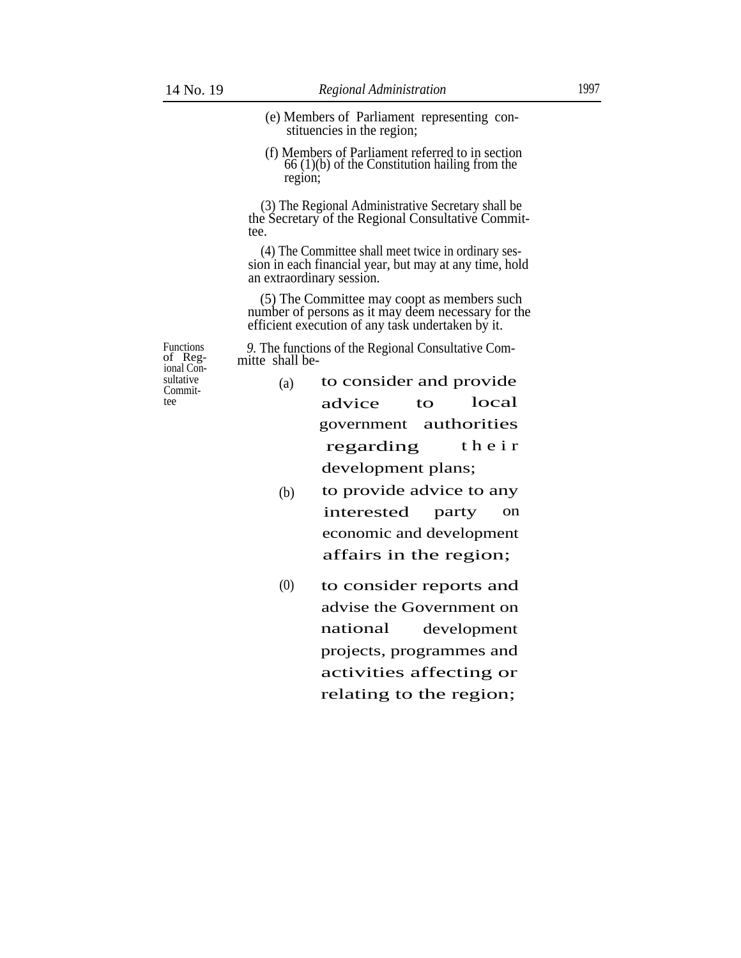- (e) Members of Parliament representing constituencies in the region;
- (f) Members of Parliament referred to in section 66 (1)(b) of the Constitution hailing from the region;

(3) The Regional Administrative Secretary shall be the Secretary of the Regional Consultative Committee.

(4) The Committee shall meet twice in ordinary session in each financial year, but may at any time, hold an extraordinary session.

(5) The Committee may coopt as members such number of persons as it may deem necessary for the efficient execution of any task undertaken by it.

*9.* The functions of the Regional Consultative Committe shall be-

Functions of Regional Consultative (a) Commit-

- to consider and provide local advice to government authorities regarding their development plans;
- (b) to provide advice to any interested party on economic and development affairs in the region;
- to consider reports and advise the Government on national (0) development projects, programmes and activities affecting or relating to the region;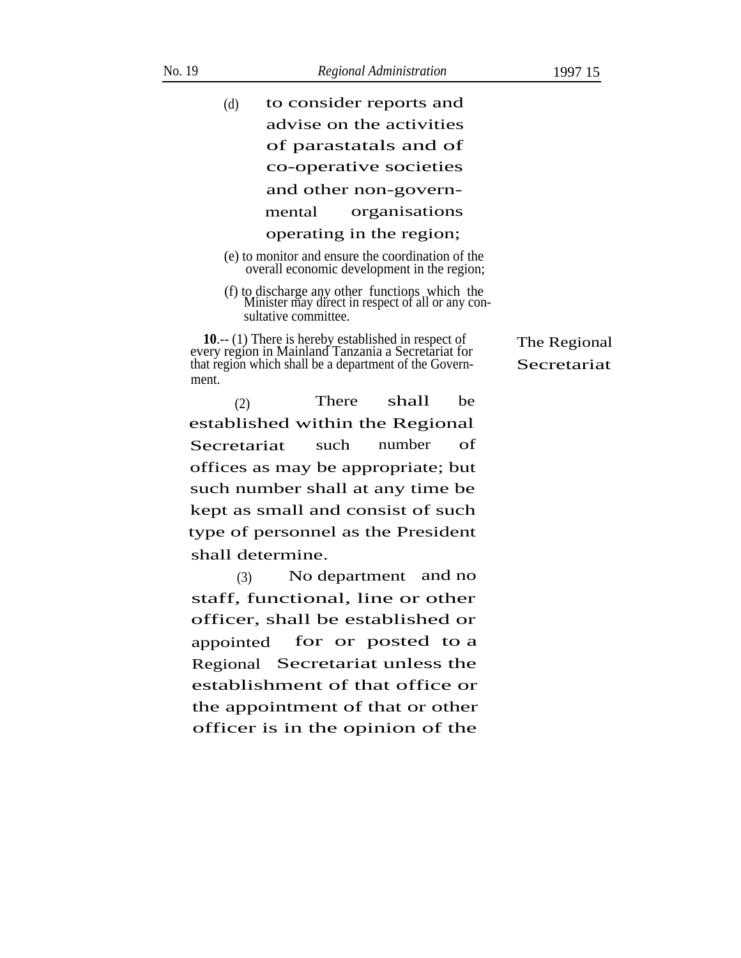- to consider reports and advise on the activities of parastatals and of co-operative societies (d) and other non-governmental organisations operating in the region;
- (e) to monitor and ensure the coordination of the overall economic development in the region;
- (f) to discharge any other functions which the Minister may direct in respect of all or any consultative committee.

**10**.-- (1) There is hereby established in respect of every region in Mainland Tanzania a Secretariat for that region which shall be a department of the Government.

The Regional Secretariat

(2) There shall be established within the Regional Secretariat such number of offices as may be appropriate; but such number shall at any time be kept as small and consist of such type of personnel as the President shall determine.

(3) No department and no staff, functional, line or other officer, shall be established or for or posted to a Tree Secretariat unless the appointed establishment of that office or the appointment of that or other officer is in the opinion of the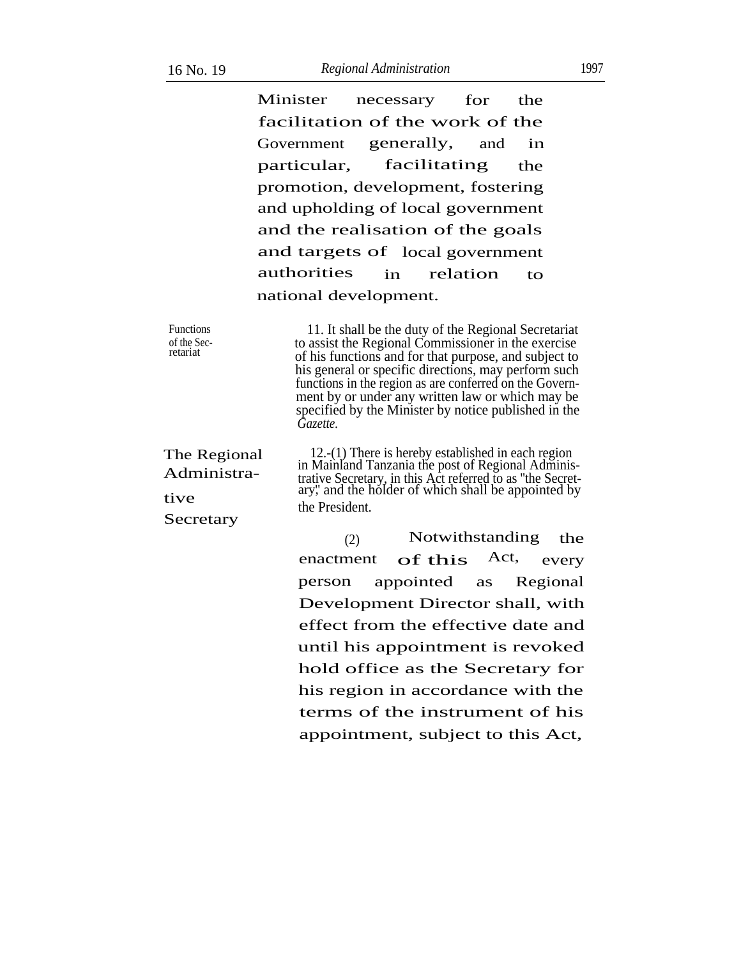Minister necessary for the facilitation of the work of the Government particular, generally, and in facilitating the promotion, development, fostering and upholding of local government and the realisation of the goals and targets of local government authorities in relation to national development.

| <b>Functions</b><br>of the Sec-<br>retariat      | 11. It shall be the duty of the Regional Secretariat<br>to assist the Regional Commissioner in the exercise<br>of his functions and for that purpose, and subject to<br>his general or specific directions, may perform such<br>functions in the region as are conferred on the Govern-<br>ment by or under any written law or which may be<br>specified by the Minister by notice published in the<br>Gazette. |                                                                                                                                                                                                                             |     |  |
|--------------------------------------------------|-----------------------------------------------------------------------------------------------------------------------------------------------------------------------------------------------------------------------------------------------------------------------------------------------------------------------------------------------------------------------------------------------------------------|-----------------------------------------------------------------------------------------------------------------------------------------------------------------------------------------------------------------------------|-----|--|
| The Regional<br>Administra-<br>tive<br>Secretary | the President.                                                                                                                                                                                                                                                                                                                                                                                                  | 12.- $(1)$ There is hereby established in each region<br>in Mainland Tanzania the post of Regional Adminis-<br>trative Secretary, in this Act referred to as "the Secretary", and the holder of which shall be appointed by |     |  |
|                                                  | (2)                                                                                                                                                                                                                                                                                                                                                                                                             | Notwithstanding                                                                                                                                                                                                             | the |  |
|                                                  |                                                                                                                                                                                                                                                                                                                                                                                                                 | $\sim$ $\sim$ $\sim$ $\sim$ $\sim$ $\sim$ $\sim$                                                                                                                                                                            |     |  |

enactment of this Act, every person appointed as Regional Development Director shall, with effect from the effective date and until his appointment is revoked hold office as the Secretary for his region in accordance with the terms of the instrument of his appointment, subject to this Act,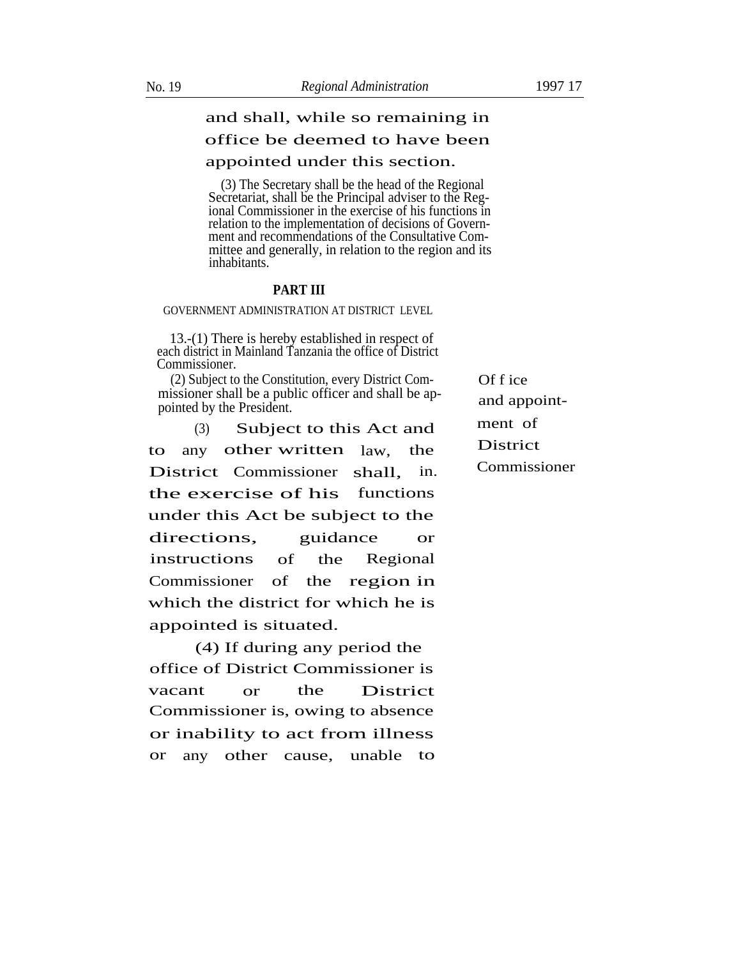### office be deemed to have been

#### appointed under this section.

(3) The Secretary shall be the head of the Regional Secretariat, shall be the Principal adviser to the Regional Commissioner in the exercise of his functions in relation to the implementation of decisions of Government and recommendations of the Consultative Committee and generally, in relation to the region and its inhabitants.

#### **PART III**

#### GOVERNMENT ADMINISTRATION AT DISTRICT LEVEL

13.-(1) There is hereby established in respect of each district in Mainland Tanzania the office of District Commissioner.

(2) Subject to the Constitution, every District Com- Of f ice missioner shall be a public officer and shall be appoint-<br>pointed by the President.

 $(3)$  Subject to this Act and ment of to any other written  $\lambda$  any law, the District District Commissioner shall, in. Commissioner the exercise of his functions under this Act be subject to the directions, guidance or instructions of the Regional Commissioner of the region in which the district for which he is appointed is situated.

(4) If during any period the office of District Commissioner is vacant or the District Commissioner is, owing to absence or inability to act from illness or any other cause, unable to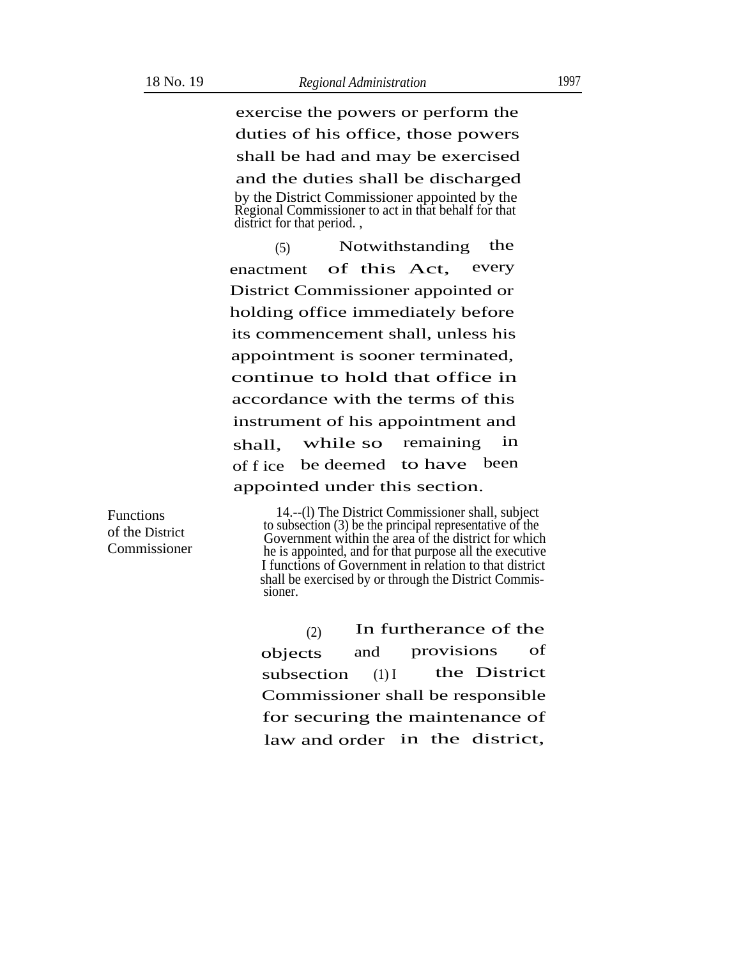exercise the powers or perform the duties of his office, those powers shall be had and may be exercised and the duties shall be discharged by the District Commissioner appointed by the Regional Commissioner to act in that behalf for that district for that period. ,

Notwithstanding the enactment of this Act, every (5) District Commissioner appointed or holding office immediately before its commencement shall, unless his appointment is sooner terminated, continue to hold that office in accordance with the terms of this instrument of his appointment and shall, while so remaining in of f ice be deemed to have been appointed under this section.

Functions of the District Commissioner

14.--(l) The District Commissioner shall, subject to subsection (3) be the principal representative of the Government within the area of the district for which he is appointed, and for that purpose all the executive I functions of Government in relation to that district shall be exercised by or through the District Commissioner.

 $(2)$  In furtherance of the objects and provisions of subsection  $(1)I$  the District Commissioner shall be responsible for securing the maintenance of law and order in the district,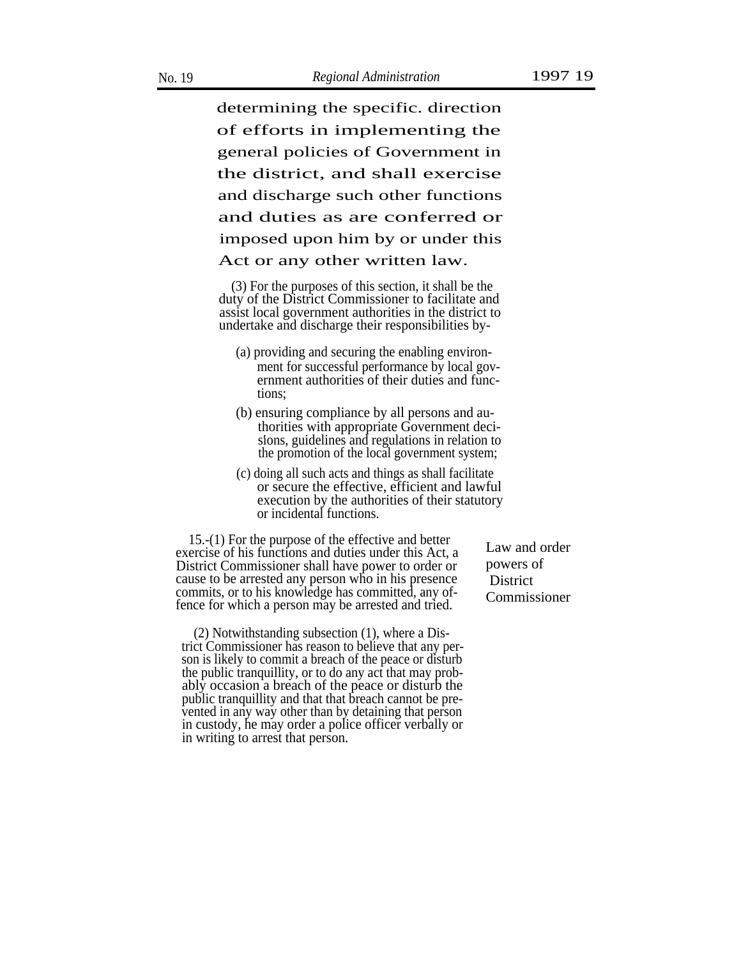determining the specific. direction of efforts in implementing the general policies of Government in the district, and shall exercise and discharge such other functions and duties as are conferred or imposed upon him by or under this Act or any other written law.

(3) For the purposes of this section, it shall be the duty of the District Commissioner to facilitate and assist local government authorities in the district to undertake and discharge their responsibilities by-

- (a) providing and securing the enabling environment for successful performance by local government authorities of their duties and functions;
- (b) ensuring compliance by all persons and authorities with appropriate Government deci- . sions, guidelines and regulations in relation to the promotion of the local government system;
- (c) doing all such acts and things as shall facilitate or secure the effective, efficient and lawful execution by the authorities of their statutory or incidental functions.

15.-(1) For the purpose of the effective and better exercise of his functions and duties under this Act, a District Commissioner shall have power to order or cause to be arrested any person who in his presence commits, or to his knowledge has committed, any offence for which a person may be arrested and tried.

(2) Notwithstanding subsection (1), where a District Commissioner has reason to believe that any person is likely to commit a breach of the peace or disturb the public tranquillity, or to do any act that may probably occasion a breach of the peace or disturb the public tranquillity and that that breach cannot be prevented in any way other than by detaining that person in custody, he may order a police officer verbally or in writing to arrest that person.

Law and order powers of **District** Commissioner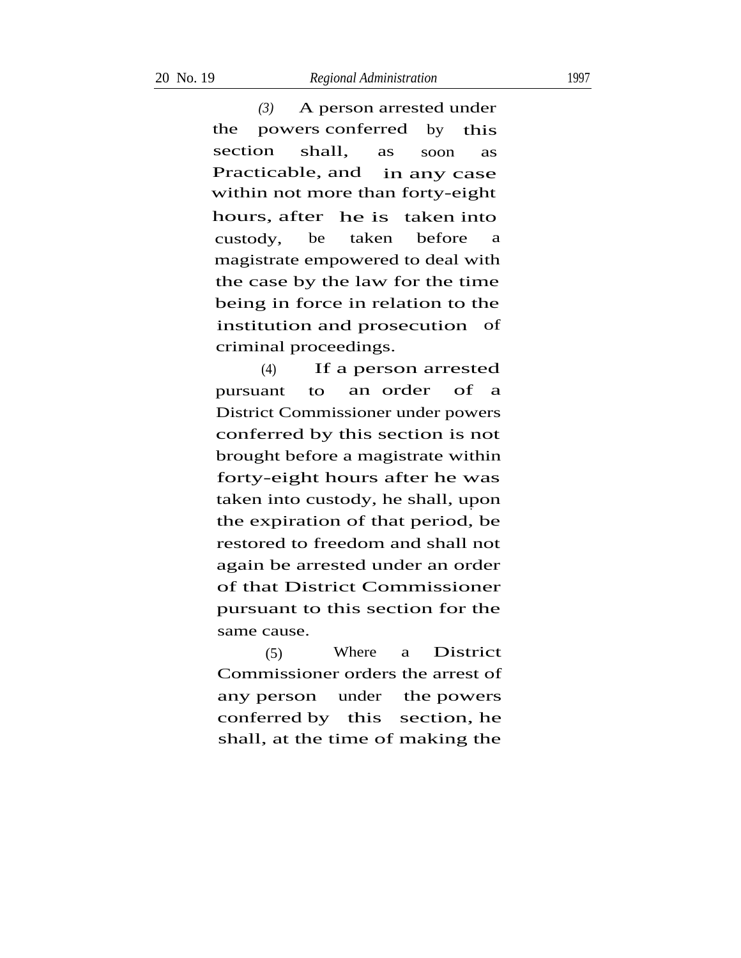*(3)* A person arrested under the powers conferred by this section shall, as soon as Practicable, and in any case within not more than forty-eight hours, after he is taken into custody, be taken before a magistrate empowered to deal with the case by the law for the time being in force in relation to the institution and prosecution of criminal proceedings.

If a person arrested an order (4) pursuant to an order of a District Commissioner under powers conferred by this section is not brought before a magistrate within forty-eight hours after he was taken into custody, he shall, upon . the expiration of that period, be restored to freedom and shall not again be arrested under an order of that District Commissioner pursuant to this section for the same cause.

Where a District Commissioner orders the arrest of under the powers section, he any person conferred by this shall, at the time of making the (5)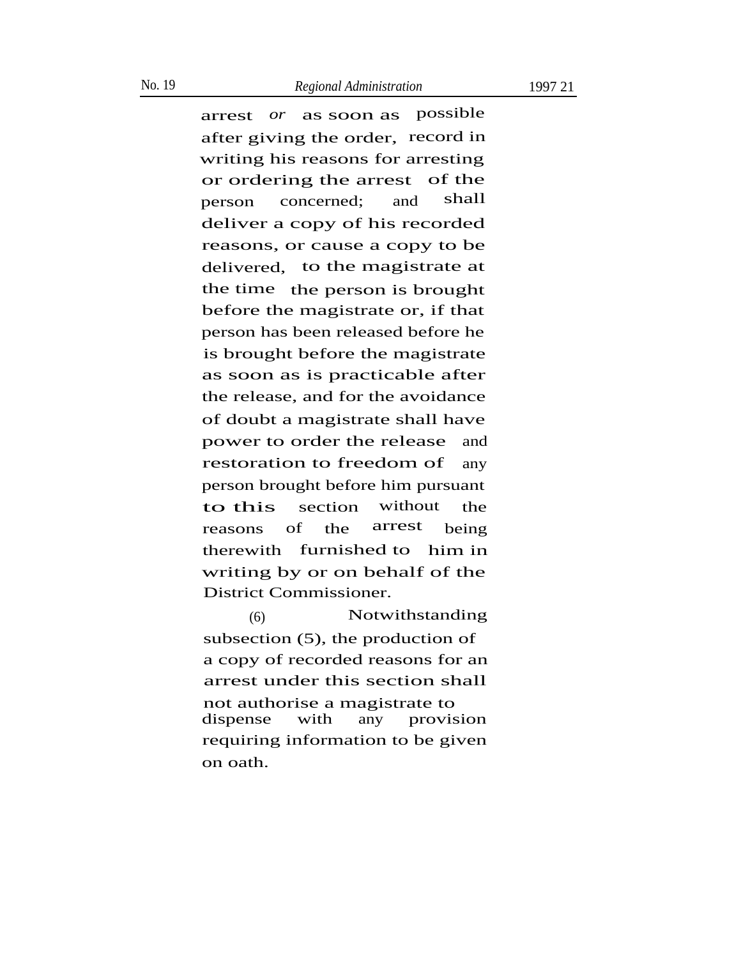#### No. 19 *Regional Administration* 1997 21

arrest *or* as soon as possible after giving the order, record in writing his reasons for arresting or ordering the arrest of the person concerned; and shall deliver a copy of his recorded reasons, or cause a copy to be

delivered, to the magistrate at the time the person is brought before the magistrate or, if that person has been released before he is brought before the magistrate as soon as is practicable after the release, and for the avoidance of doubt a magistrate shall have power to order the release and restoration to freedom of any person brought before him pursuant to this section without the reasons of the arrest being therewith furnished to him in writing by or on behalf of the District Commissioner.

(6) Notwithstanding subsection (5), the production of a copy of recorded reasons for an arrest under this section shall not authorise a magistrate to dispense with any provision requiring information to be given on oath.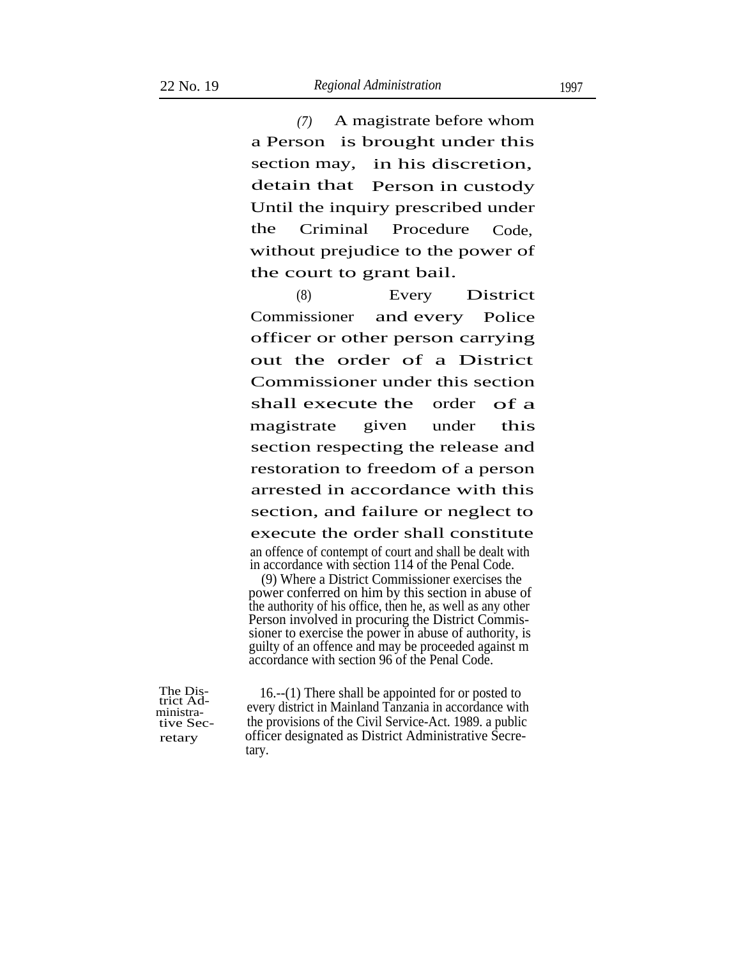*(7)* A magistrate before whom a Person is brought under this section may, detain that in his discretion, Person in custody Until the inquiry prescribed under the Criminal Procedure Code, without prejudice to the power of the court to grant bail.

(8) Every District Commissioner and every Police officer or other person carrying out the order of a District Commissioner under this section shall execute the order of a magistrate given under this section respecting the release and restoration to freedom of a person arrested in accordance with this section, and failure or neglect to execute the order shall constitute an offence of contempt of court and shall be dealt with in accordance with section 114 of the Penal Code.

(9) Where a District Commissioner exercises the power conferred on him by this section in abuse of the authority of his office, then he, as well as any other Person involved in procuring the District Commissioner to exercise the power in abuse of authority, is guilty of an offence and may be proceeded against m accordance with section 96 of the Penal Code.

The Dis-trict Administrative Secretary

16.--(1) There shall be appointed for or posted to every district in Mainland Tanzania in accordance with the provisions of the Civil Service-Act. 1989. a public officer designated as District Administrative Secretary.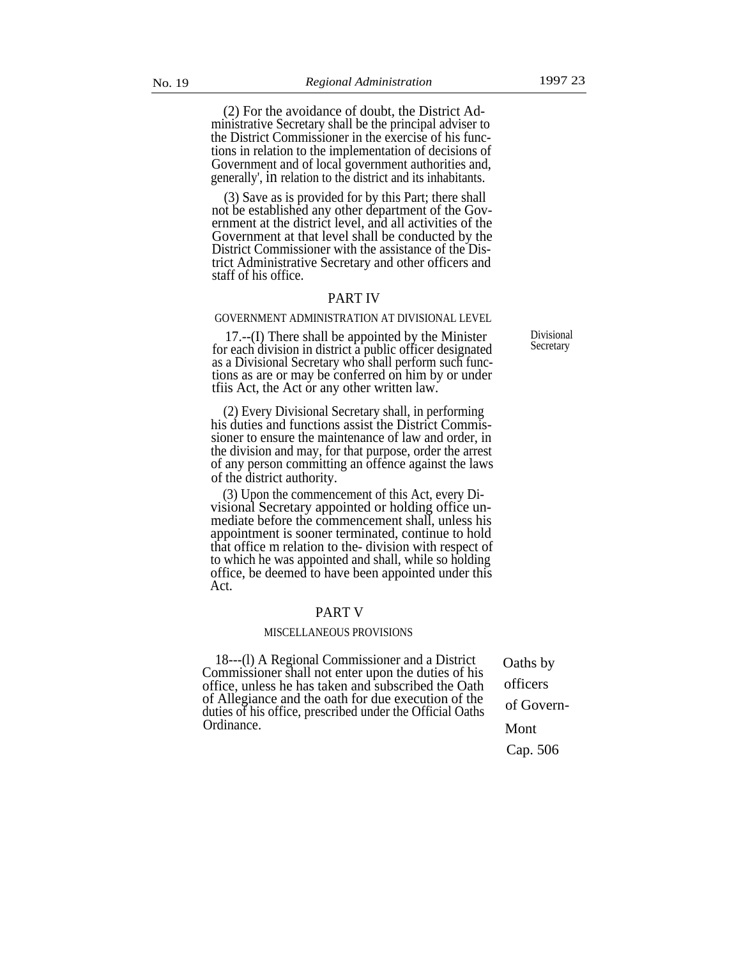(2) For the avoidance of doubt, the District Administrative Secretary shall be the principal adviser to the District Commissioner in the exercise of his functions in relation to the implementation of decisions of Government and of local government authorities and, generally', in relation to the district and its inhabitants.

(3) Save as is provided for by this Part; there shall not be established any other department of the Government at the district level, and all activities of the Government at that level shall be conducted by the District Commissioner with the assistance of the District Administrative Secretary and other officers and staff of his office.

#### PART IV

#### GOVERNMENT ADMINISTRATION AT DIVISIONAL LEVEL

17.--(I) There shall be appointed by the Minister for each division in district a public officer designated as a Divisional Secretary who shall perform such functions as are or may be conferred on him by or under tfiis Act, the Act or any other written law.

(2) Every Divisional Secretary shall, in performing his duties and functions assist the District Commissioner to ensure the maintenance of law and order, in the division and may, for that purpose, order the arrest of any person committing an offence against the laws of the district authority.

(3) Upon the commencement of this Act, every Divisional Secretary appointed or holding office unmediate before the commencement shall, unless his appointment is sooner terminated, continue to hold that office m relation to the- division with respect of to which he was appointed and shall, while so holding office, be deemed to have been appointed under this Act.

#### PART V

#### MISCELLANEOUS PROVISIONS

18---(l) A Regional Commissioner and a District Commissioner shall not enter upon the duties of his office, unless he has taken and subscribed the Oath of Allegiance and the oath for due execution of the duties of his office, prescribed under the Official Oaths Ordinance.

Oaths by officers of Govern-Mont Cap. 506

Divisional **Secretary**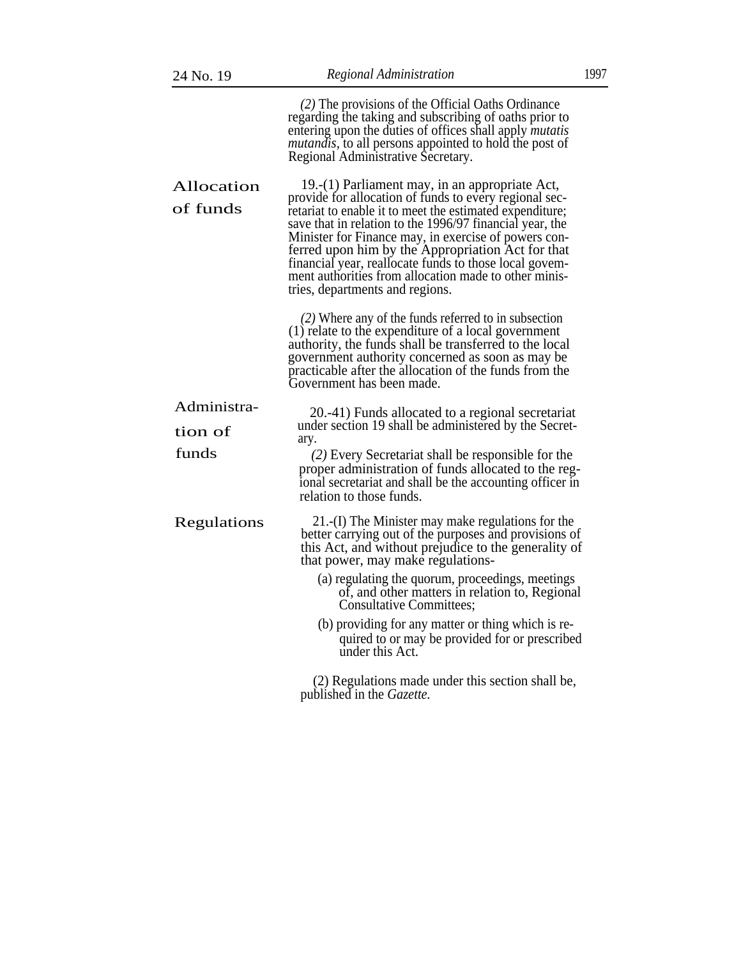| 24 No. 19              | Regional Administration                                                                                                                                                                                                                                                                                                                                                                                                                                                                             |  |
|------------------------|-----------------------------------------------------------------------------------------------------------------------------------------------------------------------------------------------------------------------------------------------------------------------------------------------------------------------------------------------------------------------------------------------------------------------------------------------------------------------------------------------------|--|
|                        | (2) The provisions of the Official Oaths Ordinance<br>regarding the taking and subscribing of oaths prior to<br>entering upon the duties of offices shall apply <i>mutatis</i><br><i>mutandis</i> , to all persons appointed to hold the post of<br>Regional Administrative Secretary.                                                                                                                                                                                                              |  |
| Allocation<br>of funds | 19.-(1) Parliament may, in an appropriate Act,<br>provide for allocation of funds to every regional sec-<br>retariat to enable it to meet the estimated expenditure;<br>save that in relation to the 1996/97 financial year, the<br>Minister for Finance may, in exercise of powers con-<br>ferred upon him by the Appropriation Act for that<br>financial year, reallocate funds to those local govem-<br>ment authorities from allocation made to other minis-<br>tries, departments and regions. |  |
|                        | $(2)$ Where any of the funds referred to in subsection<br>(1) relate to the expenditure of a local government<br>authority, the funds shall be transferred to the local<br>government authority concerned as soon as may be<br>practicable after the allocation of the funds from the<br>Government has been made.                                                                                                                                                                                  |  |
| Administra-            | 20.-41) Funds allocated to a regional secretariat                                                                                                                                                                                                                                                                                                                                                                                                                                                   |  |
| tion of                | under section 19 shall be administered by the Secret-<br>ary.                                                                                                                                                                                                                                                                                                                                                                                                                                       |  |
| funds                  | (2) Every Secretariat shall be responsible for the<br>proper administration of funds allocated to the reg-<br>ional secretariat and shall be the accounting officer in<br>relation to those funds.                                                                                                                                                                                                                                                                                                  |  |
| Regulations            | 21.-(I) The Minister may make regulations for the<br>better carrying out of the purposes and provisions of<br>this Act, and without prejudice to the generality of<br>that power, may make regulations-                                                                                                                                                                                                                                                                                             |  |
|                        | (a) regulating the quorum, proceedings, meetings<br>of, and other matters in relation to, Regional<br>Consultative Committees;                                                                                                                                                                                                                                                                                                                                                                      |  |
|                        | (b) providing for any matter or thing which is re-<br>quired to or may be provided for or prescribed<br>under this Act.                                                                                                                                                                                                                                                                                                                                                                             |  |
|                        | (2) Regulations made under this section shall be,                                                                                                                                                                                                                                                                                                                                                                                                                                                   |  |

published in the *Gazette.*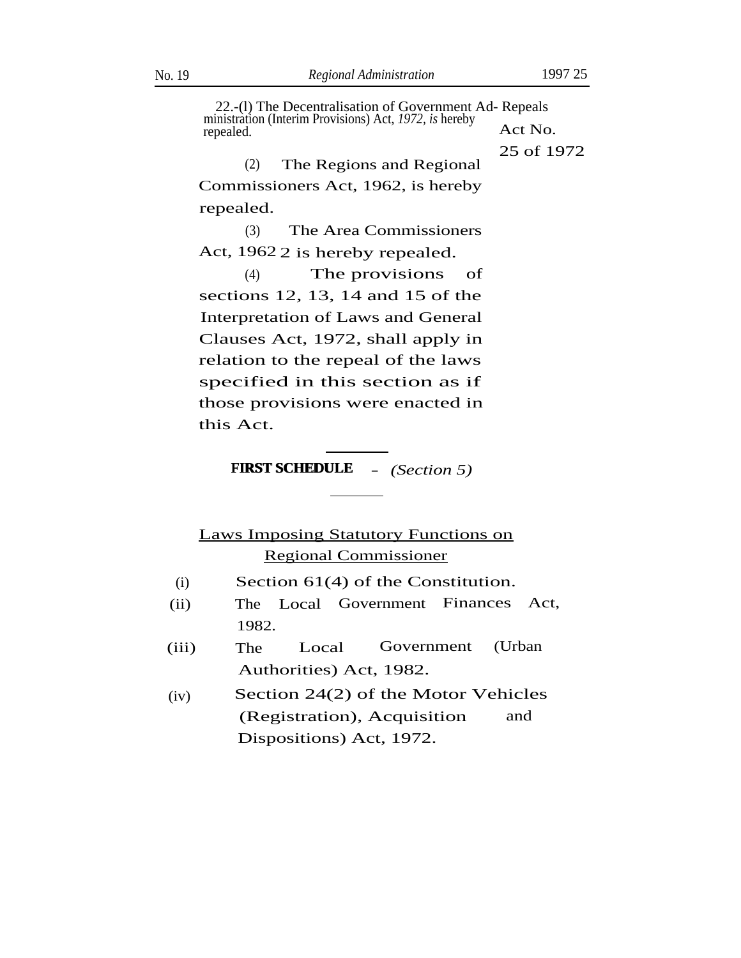22.-(l) The Decentralisation of Government Ad- Repeals ministration (Interim Provisions) Act, 1972, *is* hereby <br>repealed. <br>Act No.

25 of 1972

(2) The Regions and Regional Commissioners Act, 1962, is hereby repealed.

(3) The Area Commissioners Act, 1962 2 is hereby repealed.

(4) The provisions of sections 12, 13, 14 and 15 of the Interpretation of Laws and General Clauses Act, 1972, shall apply in relation to the repeal of the laws specified in this section as if those provisions were enacted in this Act.

# **FIRST SCHEDULE** - *(Section 5)* FIRST SCHEDULE

# Laws Imposing Statutory Functions on Regional Commissioner

- Section 61(4) of the Constitution. (i)
- (ii) The Local Government Finances Act, 1982.
- (iii) The Local Government (Urban Authorities) Act, 1982.
- (iv) Section 24(2) of the Motor Vehicles (Registration), Acquisition and Dispositions) Act, 1972.